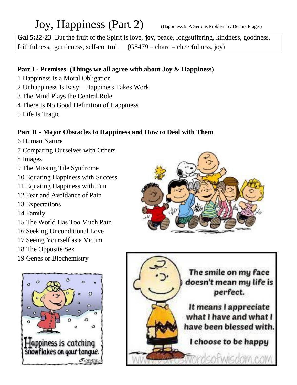# Joy, Happiness (Part 2) (Happiness Is A Serious Problem by Dennis Prager)

**Gal 5:22-23** But the fruit of the Spirit is love, **joy**, peace, longsuffering, kindness, goodness, faithfulness, gentleness, self-control.  $(G5479 - \text{chara} = \text{cherfulness}, joy)$ 

## **Part I - Premises (Things we all agree with about Joy & Happiness)**

- 1 Happiness Is a Moral Obligation 2 Unhappiness Is Easy—Happiness Takes Work 3 The Mind Plays the Central Role 4 There Is No Good Definition of Happiness
- 5 Life Is Tragic

## **Part II - Major Obstacles to Happiness and How to Deal with Them**

- 6 Human Nature 7 Comparing Ourselves with Others 8 Images 9 The Missing Tile Syndrome 10 Equating Happiness with Success 11 Equating Happiness with Fun 12 Fear and Avoidance of Pain 13 Expectations 14 Family 15 The World Has Too Much Pain 16 Seeking Unconditional Love 17 Seeing Yourself as a Victim 18 The Opposite Sex
- 19 Genes or Biochemistry





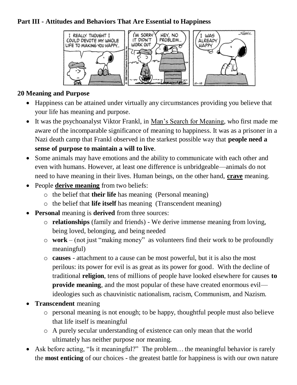### **Part III - Attitudes and Behaviors That Are Essential to Happiness**



#### **20 Meaning and Purpose**

- Happiness can be attained under virtually any circumstances providing you believe that your life has meaning and purpose.
- It was the psychoanalyst Viktor Frankl, in Man's Search for Meaning, who first made me aware of the incomparable significance of meaning to happiness. It was as a prisoner in a Nazi death camp that Frankl observed in the starkest possible way that **people need a sense of purpose to maintain a will to live**.
- Some animals may have emotions and the ability to communicate with each other and even with humans. However, at least one difference is unbridgeable—animals do not need to have meaning in their lives. Human beings, on the other hand, **crave** meaning.
- People **derive meaning** from two beliefs:
	- o the belief that **their life** has meaning (Personal meaning)
	- o the belief that **life itself** has meaning (Transcendent meaning)
- **Personal** meaning is **derived** from three sources:
	- o **relationships** (family and friends) We derive immense meaning from loving, being loved, belonging, and being needed
	- o **work** (not just "making money" as volunteers find their work to be profoundly meaningful)
	- o **causes** attachment to a cause can be most powerful, but it is also the most perilous: its power for evil is as great as its power for good. With the decline of traditional **religion**, tens of millions of people have looked elsewhere for causes **to provide meaning**, and the most popular of these have created enormous evil ideologies such as chauvinistic nationalism, racism, Communism, and Nazism.
- **Transcendent** meaning
	- o personal meaning is not enough; to be happy, thoughtful people must also believe that life itself is meaningful
	- o A purely secular understanding of existence can only mean that the world ultimately has neither purpose nor meaning.
- Ask before acting, "Is it meaningful?" The problem... the meaningful behavior is rarely the **most enticing** of our choices - the greatest battle for happiness is with our own nature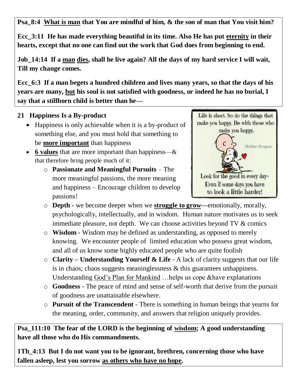**Psa\_8:4 What is man that You are mindful of him, & the son of man that You visit him?**

**Ecc\_3:11 He has made everything beautiful in its time. Also He has put eternity in their hearts, except that no one can find out the work that God does from beginning to end.**

**Job\_14:14 If a man dies, shall he live again? All the days of my hard service I will wait, Till my change comes.**

**Ecc\_6:3 If a man begets a hundred children and lives many years, so that the days of his years are many, but his soul is not satisfied with goodness, or indeed he has no burial, I say that a stillborn child is better than he—**

#### **21 Happiness Is a By-product**

- Happiness is only achievable when it is a by-product of something else, and you must hold that something to be **more important** than happiness
- **6 values** that are more important than happiness—& that therefore bring people much of it:
	- o **Passionate and Meaningful Pursuits** The more meaningful passions, the more meaning and happiness – Encourage children to develop passions!



- o **Depth -** we become deeper when we **struggle to grow—**emotionally, morally, psychologically, intellectually, and in wisdom. Human nature motivates us to seek immediate pleasure, not depth. We can choose activities beyond TV & comics
- o **Wisdom -** Wisdom may be defined as understanding, as opposed to merely knowing. We encounter people of limited education who possess great wisdom, and all of us know some highly educated people who are quite foolish
- o **Clarity – Understanding Yourself & Life** A lack of clarity suggests that our life is in chaos; chaos suggests meaninglessness & this guarantees unhappiness. Understanding God's Plan for Mankind …helps us cope &have explanations
- o **Goodness** The peace of mind and sense of self-worth that derive from the pursuit of goodness are unattainable elsewhere.
- o **Pursuit of the Transcendent** There is something in human beings that yearns for the meaning, order, community, and answers that religion uniquely provides.

**Psa\_111:10 The fear of the LORD is the beginning of wisdom; A good understanding have all those who do His commandments.**

**1Th\_4:13 But I do not want you to be ignorant, brethren, concerning those who have fallen asleep, lest you sorrow as others who have no hope.**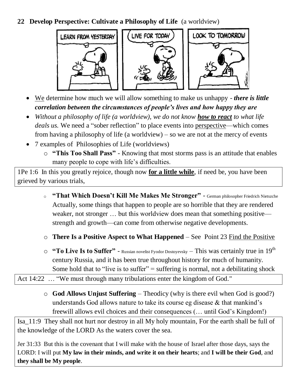**22 Develop Perspective: Cultivate a Philosophy of Life** (a worldview)



- We determine how much we will allow something to make us unhappy *there is little correlation between the circumstances of people's lives and how happy they are*
- Without a philosophy of life (a worldview), we do not know **how to react** to what life *deals us.* We need a "sober reflection" to place events into perspective—which comes from having a philosophy of life (a worldview) – so we are not at the mercy of events
- 7 examples of Philosophies of Life (worldviews)
	- o **"This Too Shall Pass"** Knowing that most storms pass is an attitude that enables many people to cope with life's difficulties.

1Pe 1:6 In this you greatly rejoice, though now **for a little while**, if need be, you have been grieved by various trials,

- <sup>o</sup> **"That Which Doesn't Kill Me Makes Me Stronger"** German philosopher Friedrich Nietszche Actually, some things that happen to people are so horrible that they are rendered weaker, not stronger ... but this worldview does mean that something positive strength and growth—can come from otherwise negative developments.
- o **There Is a Positive Aspect to What Happened** See Point 23 Find the Positive
- o **"To Live Is to Suffer"** Russian novelist Fyodor Dostoyevsky This was certainly true in 19th century Russia, and it has been true throughout history for much of humanity. Some hold that to "live is to suffer" = suffering is normal, not a debilitating shock

Act 14:22 ... "We must through many tribulations enter the kingdom of God."

o **God Allows Unjust Suffering** – Theodicy (why is there evil when God is good?) understands God allows nature to take its course eg disease & that mankind's freewill allows evil choices and their consequences (… until God's Kingdom!)

Isa\_11:9 They shall not hurt nor destroy in all My holy mountain, For the earth shall be full of the knowledge of the LORD As the waters cover the sea.

Jer 31:33 But this is the covenant that I will make with the house of Israel after those days, says the LORD: I will put **My law in their minds, and write it on their hearts**; and **I will be their God**, and **they shall be My people**.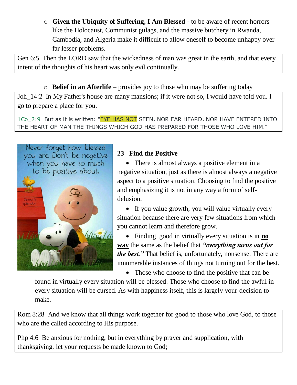o **Given the Ubiquity of Suffering, I Am Blessed** - to be aware of recent horrors like the Holocaust, Communist gulags, and the massive butchery in Rwanda, Cambodia, and Algeria make it difficult to allow oneself to become unhappy over far lesser problems.

Gen 6:5 Then the LORD saw that the wickedness of man was great in the earth, and that every intent of the thoughts of his heart was only evil continually.

o **Belief in an Afterlife** – provides joy to those who may be suffering today

Joh 14:2 In My Father's house are many mansions; if it were not so, I would have told you. I go to prepare a place for you.

1Co 2:9 But as it is written: "EYE HAS NOT SEEN, NOR EAR HEARD, NOR HAVE ENTERED INTO THE HEART OF MAN THE THINGS WHICH GOD HAS PREPARED FOR THOSE WHO LOVE HIM."



## **23 Find the Positive**

• There is almost always a positive element in a negative situation, just as there is almost always a negative aspect to a positive situation. Choosing to find the positive and emphasizing it is not in any way a form of selfdelusion.

• If you value growth, you will value virtually every situation because there are very few situations from which you cannot learn and therefore grow.

 Finding good in virtually every situation is in **no way** the same as the belief that *"everything turns out for the best."* That belief is, unfortunately, nonsense. There are innumerable instances of things not turning out for the best.

• Those who choose to find the positive that can be

found in virtually every situation will be blessed. Those who choose to find the awful in every situation will be cursed. As with happiness itself, this is largely your decision to make.

Rom 8:28 And we know that all things work together for good to those who love God, to those who are the called according to His purpose.

Php 4:6 Be anxious for nothing, but in everything by prayer and supplication, with thanksgiving, let your requests be made known to God;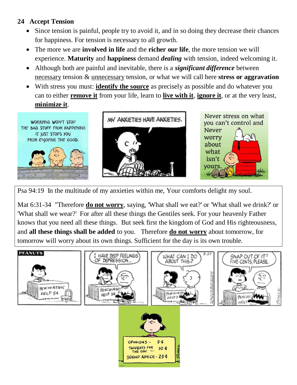#### **24 Accept Tension**

- Since tension is painful, people try to avoid it, and in so doing they decrease their chances for happiness. For tension is necessary to all growth.
- The more we are **involved in life** and the **richer our life**, the more tension we will experience. **Maturity** and **happiness** demand *dealing* with tension, indeed welcoming it.
- Although both are painful and inevitable, there is a *significant difference* between necessary tension & unnecessary tension, or what we will call here **stress or aggravation**
- With stress you must: **identify the source** as precisely as possible and do whatever you can to either **remove it** from your life, learn to **live with it**, **ignore it**, or at the very least, **minimize it**.



Psa 94:19 In the multitude of my anxieties within me, Your comforts delight my soul.

Mat 6:31-34 "Therefore **do not worry**, saying, 'What shall we eat?' or 'What shall we drink?' or 'What shall we wear?' For after all these things the Gentiles seek. For your heavenly Father knows that you need all these things. But seek first the kingdom of God and His righteousness, and **all these things shall be added** to you. Therefore **do not worry** about tomorrow, for tomorrow will worry about its own things. Sufficient for the day is its own trouble.

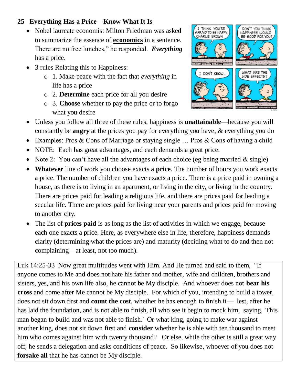#### **25 Everything Has a Price—Know What It Is**

- Nobel laureate economist Milton Friedman was asked to summarize the essence of **economics** in a sentence. There are no free lunches," he responded. *Everything* has a price.
- 3 rules Relating this to Happiness:
	- o 1. Make peace with the fact that *everything* in life has a price
	- o 2. **Determine** each price for all you desire
	- o 3. **Choose** whether to pay the price or to forgo what you desire



- Unless you follow all three of these rules, happiness is **unattainable**—because you will constantly be **angry** at the prices you pay for everything you have, & everything you do
- Examples: Pros & Cons of Marriage or staying single ... Pros & Cons of having a child
- NOTE: Each has great advantages, and each demands a great price.
- Note 2: You can't have all the advantages of each choice (eg being married  $\&$  single)
- **Whatever** line of work you choose exacts a **price**. The number of hours you work exacts a price. The number of children you have exacts a price. There is a price paid in owning a house, as there is to living in an apartment, or living in the city, or living in the country. There are prices paid for leading a religious life, and there are prices paid for leading a secular life. There are prices paid for living near your parents and prices paid for moving to another city.
- The list of **prices paid** is as long as the list of activities in which we engage, because each one exacts a price. Here, as everywhere else in life, therefore, happiness demands clarity (determining what the prices are) and maturity (deciding what to do and then not complaining—at least, not too much).

Luk 14:25-33 Now great multitudes went with Him. And He turned and said to them, "If anyone comes to Me and does not hate his father and mother, wife and children, brothers and sisters, yes, and his own life also, he cannot be My disciple. And whoever does not **bear his cross** and come after Me cannot be My disciple. For which of you, intending to build a tower, does not sit down first and **count the cost**, whether he has enough to finish it— lest, after he has laid the foundation, and is not able to finish, all who see it begin to mock him, saying, 'This man began to build and was not able to finish.' Or what king, going to make war against another king, does not sit down first and **consider** whether he is able with ten thousand to meet him who comes against him with twenty thousand? Or else, while the other is still a great way off, he sends a delegation and asks conditions of peace. So likewise, whoever of you does not **forsake all** that he has cannot be My disciple.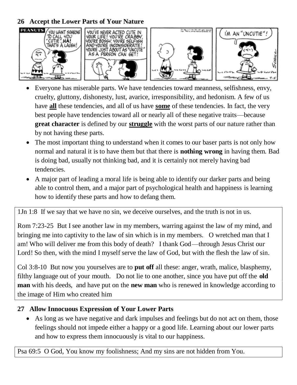**26 Accept the Lower Parts of Your Nature**



- Everyone has miserable parts. We have tendencies toward meanness, selfishness, envy, cruelty, gluttony, dishonesty, lust, avarice, irresponsibility, and hedonism. A few of us have **all** these tendencies, and all of us have **some** of these tendencies. In fact, the very best people have tendencies toward all or nearly all of these negative traits—because **great character** is defined by our **struggle** with the worst parts of our nature rather than by not having these parts.
- The most important thing to understand when it comes to our baser parts is not only how normal and natural it is to have them but that there is **nothing wrong** in having them. Bad is doing bad, usually not thinking bad, and it is certainly not merely having bad tendencies.
- A major part of leading a moral life is being able to identify our darker parts and being able to control them, and a major part of psychological health and happiness is learning how to identify these parts and how to defang them.

1Jn 1:8 If we say that we have no sin, we deceive ourselves, and the truth is not in us.

Rom 7:23-25 But I see another law in my members, warring against the law of my mind, and bringing me into captivity to the law of sin which is in my members. O wretched man that I am! Who will deliver me from this body of death? I thank God—through Jesus Christ our Lord! So then, with the mind I myself serve the law of God, but with the flesh the law of sin.

Col 3:8-10 But now you yourselves are to **put off** all these: anger, wrath, malice, blasphemy, filthy language out of your mouth. Do not lie to one another, since you have put off the **old man** with his deeds, and have put on the **new man** who is renewed in knowledge according to the image of Him who created him

## **27 Allow Innocuous Expression of Your Lower Parts**

 As long as we have negative and dark impulses and feelings but do not act on them, those feelings should not impede either a happy or a good life. Learning about our lower parts and how to express them innocuously is vital to our happiness.

Psa 69:5 O God, You know my foolishness; And my sins are not hidden from You.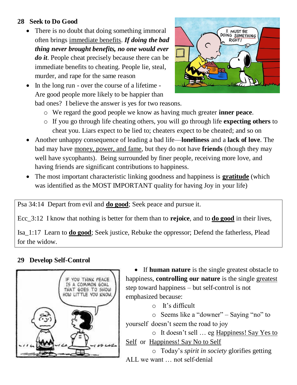#### **28 Seek to Do Good**

• There is no doubt that doing something immoral often brings immediate benefits. *If doing the bad thing never brought benefits, no one would ever do it*. People cheat precisely because there can be immediate benefits to cheating. People lie, steal, murder, and rape for the same reason



• In the long run - over the course of a lifetime -Are good people more likely to be happier than

bad ones? I believe the answer is yes for two reasons.

- o We regard the good people we know as having much greater **inner peace**.
- o If you go through life cheating others, you will go through life **expecting others** to cheat you. Liars expect to be lied to; cheaters expect to be cheated; and so on
- Another unhappy consequence of leading a bad life—**loneliness** and a **lack of love**. The bad may have money, power, and fame, but they do not have **friends** (though they may well have sycophants). Being surrounded by finer people, receiving more love, and having friends are significant contributions to happiness.
- The most important characteristic linking goodness and happiness is **gratitude** (which was identified as the MOST IMPORTANT quality for having Joy in your life)

Psa 34:14 Depart from evil and **do good**; Seek peace and pursue it.

Ecc\_3:12 I know that nothing is better for them than to **rejoice**, and to **do good** in their lives,

Isa\_1:17 Learn to **do good**; Seek justice, Rebuke the oppressor; Defend the fatherless, Plead for the widow.

## **29 Develop Self-Control**



 If **human nature** is the single greatest obstacle to happiness, **controlling our nature** is the single greatest step toward happiness – but self-control is not emphasized because:

o It's difficult

o Seems like a "downer" – Saying "no" to yourself doesn't seem the road to joy

o It doesn't sell … eg Happiness! Say Yes to Self or Happiness! Say No to Self

o Today's *spirit in society* glorifies getting ALL we want … not self-denial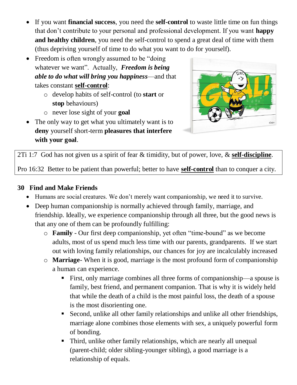- If you want **financial success**, you need the **self-control** to waste little time on fun things that don't contribute to your personal and professional development. If you want **happy and healthy children**, you need the self-control to spend a great deal of time with them (thus depriving yourself of time to do what you want to do for yourself).
- Freedom is often wrongly assumed to be "doing" whatever we want". Actually, *Freedom is being able to do what will bring you happiness*—and that takes constant **self-control**:
	- o develop habits of self-control (to **start** or **stop** behaviours)
	- o never lose sight of your **goal**
- The only way to get what you ultimately want is to **deny** yourself short-term **pleasures that interfere with your goal**.



2Ti 1:7 God has not given us a spirit of fear & timidity, but of power, love, & **self-discipline**.

Pro 16:32 Better to be patient than powerful; better to have **self-control** than to conquer a city.

## **30 Find and Make Friends**

- Humans are social creatures. We don't merely want companionship, we need it to survive.
- Deep human companionship is normally achieved through family, marriage, and friendship. Ideally, we experience companionship through all three, but the good news is that any one of them can be profoundly fulfilling:
	- o **Family** Our first deep companionship, yet often "time-bound" as we become adults, most of us spend much less time with our parents, grandparents. If we start out with loving family relationships, our chances for joy are incalculably increased
	- o **Marriage** When it is good, marriage is the most profound form of companionship a human can experience.
		- First, only marriage combines all three forms of companionship—a spouse is family, best friend, and permanent companion. That is why it is widely held that while the death of a child is the most painful loss, the death of a spouse is the most disorienting one.
		- Second, unlike all other family relationships and unlike all other friendships, marriage alone combines those elements with sex, a uniquely powerful form of bonding.
		- Third, unlike other family relationships, which are nearly all unequal (parent-child; older sibling-younger sibling), a good marriage is a relationship of equals.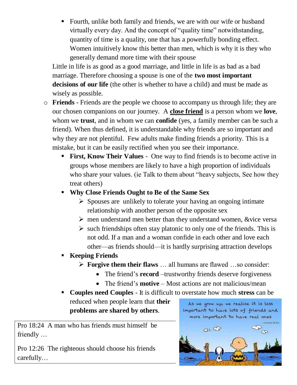• Fourth, unlike both family and friends, we are with our wife or husband virtually every day. And the concept of "quality time" notwithstanding, quantity of time is a quality, one that has a powerfully bonding effect. Women intuitively know this better than men, which is why it is they who generally demand more time with their spouse

Little in life is as good as a good marriage, and little in life is as bad as a bad marriage. Therefore choosing a spouse is one of the **two most important decisions of our life** (the other is whether to have a child) and must be made as wisely as possible.

- o **Friends** Friends are the people we choose to accompany us through life; they are our chosen companions on our journey. A **close friend** is a person whom we **love**, whom we **trust**, and in whom we can **confide** (yes, a family member can be such a friend). When thus defined, it is understandable why friends are so important and why they are not plentiful. Few adults make finding friends a priority. This is a mistake, but it can be easily rectified when you see their importance.
	- **First, Know Their Values** One way to find friends is to become active in groups whose members are likely to have a high proportion of individuals who share your values. (ie Talk to them about "heavy subjects, See how they treat others)
	- **Why Close Friends Ought to Be of the Same Sex**
		- $\triangleright$  Spouses are unlikely to tolerate your having an ongoing intimate relationship with another person of the opposite sex
		- $\triangleright$  men understand men better than they understand women, &vice versa
		- $\triangleright$  such friendships often stay platonic to only one of the friends. This is not odd. If a man and a woman confide in each other and love each other—as friends should—it is hardly surprising attraction develops
	- **Keeping Friends**
		- **Forgive them their flaws** … all humans are flawed …so consider:
			- The friend's **record** –trustworthy friends deserve forgiveness
			- The friend's **motive** Most actions are not malicious/mean
	- **Couples need Couples** It is difficult to overstate how much **stress** can be reduced when people learn that **their**  As we grow up, we realize it is less **problems are shared by others**.

Pro 18:24 A man who has friends must himself be friendly …

Pro 12:26 The righteous should choose his friends carefully…